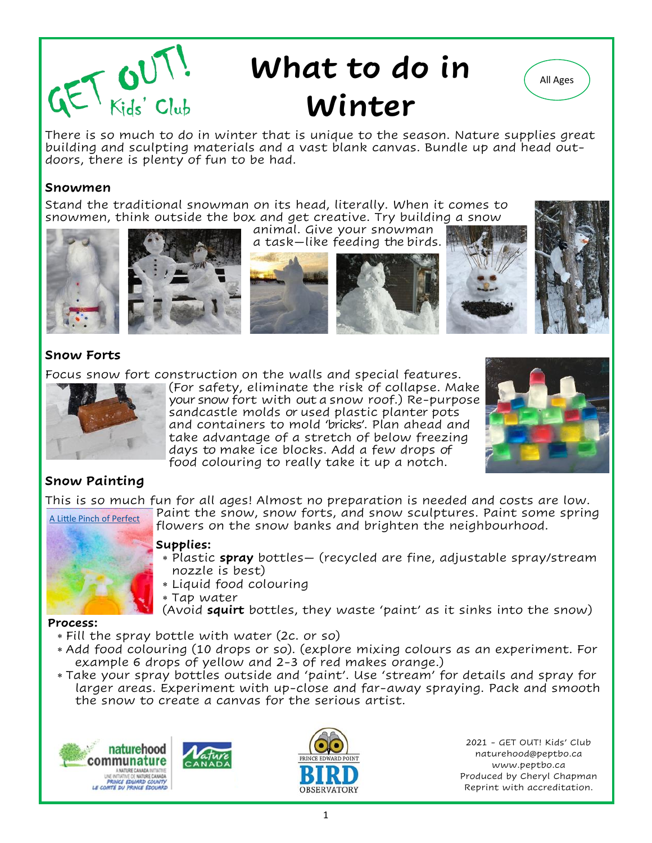

# **What to do in All Ages Winter**



There is so much to do in winter that is unique to the season. Nature supplies great building and sculpting materials and a vast blank canvas. Bundle up and head outdoors, there is plenty of fun to be had.

## **Snowmen**

Stand the traditional snowman on its head, literally. When it comes to snowmen, think outside the box and get creative. Try building a snow animal. Give your snowman













## **Snow Forts**

Focus snow fort construction on the walls and special features.



(For safety, eliminate the risk of collapse. Make your snow fort with out a snow roof.) Re-purpose sandcastle molds or used plastic planter pots and containers to mold 'bricks'. Plan ahead and take advantage of a stretch of below freezing days to make ice blocks. Add a few drops of food colouring to really take it up a notch.



## **Snow Painting**

This is so much fun for all ages! Almost no preparation is needed and costs are low. Paint the snow, snow forts, and snow sculptures. Paint some spring flowers on the snow banks and brighten the neighbourhood. [A Little Pinch of Perfect](https://alittlepinchofperfect.com/how-to-make-snow-paint-winter-kids-activity/)



## **Supplies:**

- Plastic **spray** bottles— (recycled are fine, adjustable spray/stream nozzle is best)
- Liquid food colouring
- Tap water
- (Avoid **squirt** bottles, they waste 'paint' as it sinks into the snow)

## **Process:**

- Fill the spray bottle with water (2c. or so)
- Add food colouring (10 drops or so). (explore mixing colours as an experiment. For example 6 drops of yellow and 2-3 of red makes orange.)
- Take your spray bottles outside and 'paint'. Use 'stream' for details and spray for larger areas. Experiment with up-close and far-away spraying. Pack and smooth the snow to create a canvas for the serious artist.







2021 - GET OUT! Kids' Club naturehood@peptbo.ca www.peptbo.ca Produced by Cheryl Chapman Reprint with accreditation.